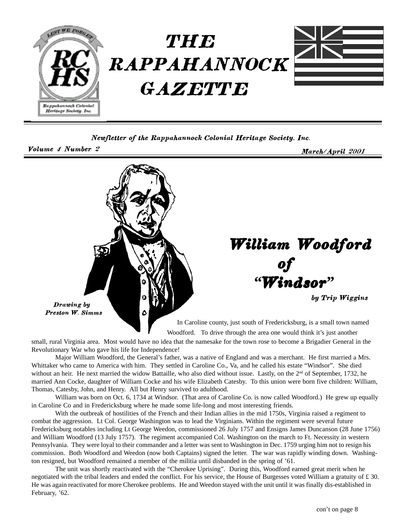

Newfletter of the Rappahannock Colonial Heritage Society, Inc.

Volume 4 Numb

March/April 2001



small, rural Virginia area. Most would have no idea that the namesake for the town rose to become a Brigadier General in the Revolutionary War who gave his life for Independence!

Major William Woodford, the General's father, was a native of England and was a merchant. He first married a Mrs. Whittaker who came to America with him. They settled in Caroline Co., Va, and he called his estate "Windsor". She died without an heir. He next married the widow Battaille, who also died without issue. Lastly, on the 2<sup>nd</sup> of September, 1732, he married Ann Cocke, daughter of William Cocke and his wife Elizabeth Catesby. To this union were born five children: William, Thomas, Catesby, John, and Henry. All but Henry survived to adulthood.

William was born on Oct. 6, 1734 at Windsor. (That area of Caroline Co. is now called Woodford.) He grew up equally in Caroline Co and in Fredericksburg where he made some life-long and most interesting friends.

With the outbreak of hostilities of the French and their Indian allies in the mid 1750s, Virginia raised a regiment to combat the aggression. Lt Col. George Washington was to lead the Virginians. Within the regiment were several future Fredericksburg notables including Lt George Weedon, commissioned 26 July 1757 and Ensigns James Duncanson (28 June 1756) and William Woodford (13 July 1757). The regiment accompanied Col. Washington on the march to Ft. Necessity in western Pennsylvania. They were loyal to their commander and a letter was sent to Washington in Dec. 1759 urging him not to resign his commission. Both Woodford and Weedon (now both Captains) signed the letter. The war was rapidly winding down. Washington resigned, but Woodford remained a member of the militia until disbanded in the spring of '61.

The unit was shortly reactivated with the "Cherokee Uprising". During this, Woodford earned great merit when he negotiated with the tribal leaders and ended the conflict. For his service, the House of Burgesses voted William a gratuity of £ 30. He was again reactivated for more Cherokee problems. He and Weedon stayed with the unit until it was finally dis-established in February, '62.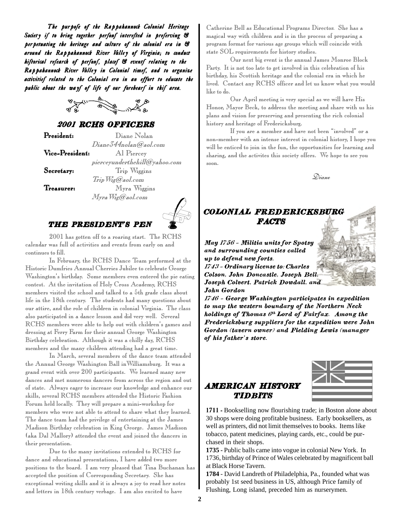The purpofe of the Rappahannock Colonial Heritage Society if to bring together perfonf interefted in preferving  $\mathcal C$ perpetuating the heritage and culture of the colonial era in  $\mathcal C$ around the Rappahannock River Valley of Virginia; to conduct hiftorical refearch of perfonf, placef & eventf relating to the Rappahannock River Valley in Colonial timef, and to organize activitief related to the Colonial era in an effort to educate the public about the wayf of life of our forebearf in thif area.



## 2001 RCHS OFFICERS

**President:**  $\Box$ 

Vice-President:

Secretar

Treasurer

Diane Nolan Diane344nolan@aol.com esident: Al Piercey  $piecey under the hillQ$ yahoo.com  $\mathbf{y:}$   $\qquad \qquad \text{Trip Wiggins}$ Trip Wig@aol.com : Myra Wiggins

Myra Wig@aol.com



## THE PRESIDENT'S PEN

2001 has gotten off to a roaring start. The RCHS calendar was full of activities and events from early on and continues to fill.

In February, the RCHS Dance Team performed at the Historic Dumfries Annual Cherries Jubilee to celebrate George Washington's birthday. Some members even entered the pie eating contest. At the invitation of Holy Cross Academy, RCHS members visited the school and talked to a 5th grade class about life in the 18th century. The students had many questions about our attire, and the role of children in colonial Virginia. The class also participated in a dance lesson and did very well. Several RCHS members were able to help out with children's games and dressing at Ferry Farm for their annual George Washington Birthday celebration. Although it was a chilly day, RCHS members and the many children attending had a great time.

In March, several members of the dance team attended the Annual George Washington Ball inWilliamsburg. It was a grand event with over 200 participants. We learned many new dances and met numerous dancers from across the region and out of state. Always eager to increase our knowledge and enhance our skills, several RCHS members attended the Historic Fashion Forum held locally. They will prepare a mini-workshop for members who were not able to attend to share what they learned. The dance team had the privilege of entertaining at the James Madison Birthday celebration in King George. James Madison (aka Dal Mallory) attended the event and joined the dancers in their presentation.

Due to the many invitations extended to RCHS for dance and educational presentations, I have added two more positions to the board. I am very pleased that Tina Buchanan has accepted the position of Corresponding Secretary. She has exceptional writing skills and it is always a joy to read her notes and letters in 18th century verbage. I am also excited to have

Catherine Bell as Educational Programs Director. She has a magical way with children and is in the process of preparing a program format for various age groups which will coincide with state SOL requirements for history studies.

Our next big event is the annual James Monroe Block Party. It is not too late to get involved in this celebration of his birthday, his Scottish heritage and the colonial era in which he lived. Contact any RCHS officer and let us know what you would like to do.

Our April meeting is very special as we will have His Honor, Mayor Beck, to address the meeting and share with us his plans and vision for preserving and presenting the rich colonial history and heritage of Fredericksburg.

If you are a member and have not been "involved" or a non-member with an intense interest in colonial history, I hope you will be enticed to join in the fun, the opportunities for learning and sharing, and the activites this society offers. We hope to see you soon.



## COLONIAL FREDERICKSBURG FACT'S

May 1756 - Militia units for Spotsy and surrounding counties called up to defend new forts. 1743 - Ordinary license to: Charles Colson, John Doncastle, Joseph Bell, Joseph Colvert, Patrick Dowdall, and John Gordon

1746 - George Washington participates in expedition to map the western boundary of the Northern Neck holdings of Thomas  $6^{th}$  Lord of Fairfax. Among the Fredericksburg suppliers for the expedition were John Gordon (tavern owner) and Fielding Lewis (manager of his father's store.

## AMERICAN HISTORY )\$03\$)!



1711 - Bookselling now flourishing trade; in Boston alone about 30 shops were doing profitable business. Early booksellers, as well as printers, did not limit themselves to books. Items like tobacco, patent medicines, playing cards, etc., could be purchased in their shops.

**1735 -** Public balls came into vogue in colonial New York. In 1736, birthday of Prince of Wales celebrated by magnificent ball at Black Horse Tavern.

**1784** - David Landreth of Philadelphia, Pa., founded what was probably 1st seed business in US, although Price family of Flushing, Long island, preceded him as nurserymen.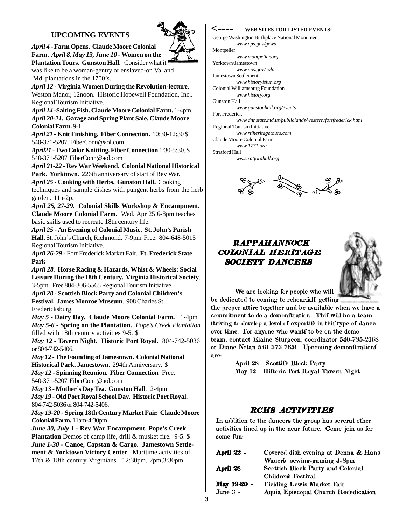## **UPCOMING EVENTS**

*April 4* **- Farm Opens. Claude Moore Colonial Farm.** *April 8, May 13, June 10* **- Women on the Plantation Tours. Gunston Hall.** Consider what it

was like to be a woman-gentry or enslaved-on Va. and Md. plantations in the 1700's.

*April 12* **- Virginia Women During the Revolution-lecture**. Weston Manor, 12noon. Historic Hopewell Foundation, Inc.. Regional Tourism Initiative.

*April 14* **-Salting Fish. Claude Moore Colonial Farm.** 1-4pm. *April 20-21***. Garage and Spring Plant Sale. Claude Moore Colonial Farm.** 9-1.

*April 21* **- Knit Finishing. Fiber Connection.** 10:30-12:30 \$ 540-371-5207. FiberConn@aol.com

*April21* **- Two Color Knitting. Fiber Connection** 1:30-5:30. \$ 540-371-5207 FiberConn@aol.com

*April 21-22* **- Rev War Weekend. Colonial National Historical Park. Yorktown**. 226th anniversary of start of Rev War. *April 25* **- Cooking with Herbs. Gunston Hall.** Cooking techniques and sample dishes with pungent herbs from the herb

garden. 11a-2p. *April 25, 27-29.* **Colonial Skills Workshop & Encampment. Claude Moore Colonial Farm.** Wed. Apr 25 6-8pm teaches basic skills used to recreate 18th century life.

*April 25* **- An Evening of Colonial Music. St. John's Parish Hall.** St. John's Church, Richmond. 7-9pm Free. 804-648-5015 Regional Tourism Initiative.

*April 26-29 -* Fort Frederick Market Fair. **Ft. Frederick State Park**

*April 28.* **Horse Racing & Hazards, Whist & Wheels: Social Leisure During the 18th Century. Virginia Historical Society**. 3-5pm. Free 804-306-5565 Regional Tourism Initiative.

*April 28 -* **Scottish Block Party and Colonial Children's Festival. James Monroe Museum**. 908 Charles St. Fredericksburg.

*May 5* **- Dairy Day. Claude Moore Colonial Farm.** 1-4pm *May 5-6* **- Spring on the Plantation.** *Pope's Creek Plantation* filled with 18th century activities 9-5. \$

*May 12 -* **Tavern Night. Historic Port Royal.** 804-742-5036 or 804-742-5406.

*May 12* **- The Founding of Jamestown. Colonial National Historical Park. Jamestown.** 294th Anniversary. \$ *May 12* **- Spinning Reunion. Fiber Connection** Free.

540-371-5207 FiberConn@aol.com

*May 13* **- Mother's Day Tea. Gunston Hall**. 2-4pm.

*May 19* **- Old Port Royal School Day**. **Historic Port Royal.** 804-742-5036 or 804-742-5406.

*May 19-20* **- Spring 18th Century Market Fair. Claude Moore Colonial Farm.** 11am-4:30pm

*June 30, July* **1 - Rev War Encampment. Pope's Creek Plantation** Demos of camp life, drill & musket fire. 9-5. \$ *June 1-30* **- Canoe, Capstan & Cargo. Jamestown Settlement & Yorktown Victory Center**. Maritime activities of 17th & 18th century Virginians. 12:30pm, 2pm,3:30pm.

#### **WEB SITES FOR LISTED EVENTS:**

George Washington Birthplace National Monument *www.nps.gov/gewa* Montpelier *www.montpelier.org* Yorktown/Jamestown *www.nps.gov/colo* Jamestown Settlement *www.historyisfun.org* Colonial Williamsburg Foundation *www.history.org* Gunston Hall *www.gunstonhall.org/events* Fort Frederick *www.dnr.state.md.us/publiclands/western/fortfrederick.html* Regional Tourism Initiative **<----**

*www.rtiheritagetours.com* Claude Moore Colonial Farm

*www.1771.org*

Stratford Hall

*ww.stratfordhall.org*



## **RAPPAHANNOCK** COLONIAL HERITAGE SOCIETY DANCERS



We are looking for people who will

be dedicated to coming to rehearfalf, getting the proper attire together and be available when we have a  ${\bf commitment}$  to do a demonftration. Thif will be a team ftriving to develop a level of expertife in thif type of dance  $\overline{\phantom{a}}$  over time. For anyone who wantf to be on the demo team, contact Elaine Sturgeon, coordinator 540-785-2168 or Diane Nolan 540-373-7651. Upcoming demonftrationf are: -

April 28 - Scottifh Block Party May 12 - Hiftoric Port Royal Tavern Night

## RCHS ACTIVITIES

In addition to the dancers the group has several other activities lined up in the near future. Come join us for some fun -

| April 22 -        | Covered dish evening at Donna & Hans |
|-------------------|--------------------------------------|
|                   | Wauer's sewing-gaming 4-8pm          |
| <b>April 28 -</b> | Scottish Block Party and Colonial    |
|                   | Children's Festival                  |
| May 19-20 -       | <b>Fielding Lewis Market Fair</b>    |
| June $3 -$        | Aquia Episcopal Church Rededication  |
|                   |                                      |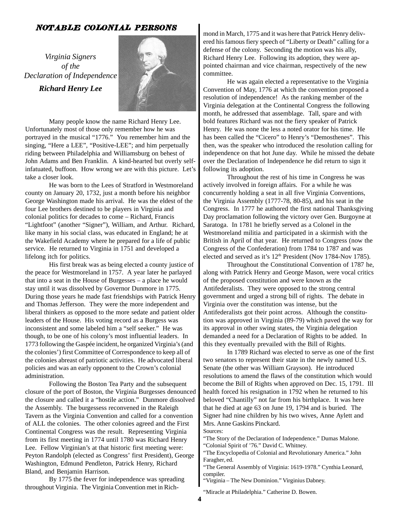### NOTABLE COLONIAL PERSONS

*Virginia Signers of the Declaration of Independence Richard Henry Lee*



Many people know the name Richard Henry Lee. Unfortunately most of those only remember how he was portrayed in the musical "1776." You remember him and the singing, "Here a LEE", "Positive-LEE"; and him perpetually riding between Philadelphia and Williamsburg on behest of John Adams and Ben Franklin. A kind-hearted but overly selfinfatuated, buffoon. How wrong we are with this picture. Let's take a closer look.

He was born to the Lees of Stratford in Westmoreland county on January 20, 1732, just a month before his neighbor George Washington made his arrival. He was the eldest of the four Lee brothers destined to be players in Virginia and colonial politics for decades to come – Richard, Francis "Lightfoot" (another "Signer"), William, and Arthur. Richard, like many in his social class, was educated in England; he at the Wakefield Academy where he prepared for a life of public service. He returned to Virginia in 1751 and developed a lifelong itch for politics.

His first break was as being elected a county justice of the peace for Westmoreland in 1757. A year later he parlayed that into a seat in the House of Burgesses – a place he would stay until it was dissolved by Governor Dunmore in 1775. During those years he made fast friendships with Patrick Henry and Thomas Jefferson. They were the more independent and liberal thinkers as opposed to the more sedate and patient older leaders of the House. His voting record as a Burgess was inconsistent and some labeled him a "self seeker." He was though, to be one of his colony's most influential leaders. In 1773 following the Gaspée incident, he organized Virginia's (and the colonies') first Committee of Correspondence to keep all of the colonies abreast of patriotic activities. He advocated liberal policies and was an early opponent to the Crown's colonial administration.

Following the Boston Tea Party and the subsequent closure of the port of Boston, the Virginia Burgesses denounced the closure and called it a "hostile action." Dunmore dissolved the Assembly. The burgessess reconvened in the Raleigh Tavern as the Virginia Convention and called for a convention of ALL the colonies. The other colonies agreed and the First Continental Congress was the result. Representing Virginia from its first meeting in 1774 until 1780 was Richard Henry Lee. Fellow Virginian's at that historic first meeting were: Peyton Randolph (elected as Congress' first President), George Washington, Edmund Pendleton, Patrick Henry, Richard Bland, and Benjamin Harrison.

By 1775 the fever for independence was spreading throughout Virginia. The Virginia Convention met in Richmond in March, 1775 and it was here that Patrick Henry delivered his famous fiery speech of "Liberty or Death" calling for a defense of the colony. Seconding the motion was his ally, Richard Henry Lee. Following its adoption, they were appointed chairman and vice chairman, respectively of the new committee.

He was again elected a representative to the Virginia Convention of May, 1776 at which the convention proposed a resolution of independence! As the ranking member of the Virginia delegation at the Continental Congress the following month, he addressed that assemblage. Tall, spare and with bold features Richard was not the fiery speaker of Patrick Henry. He was none the less a noted orator for his time. He has been called the "Cicero" to Henry's "Demosthenes". This then, was the speaker who introduced the resolution calling for independence on that hot June day. While he missed the debate over the Declaration of Independence he did return to sign it following its adoption.

Throughout the rest of his time in Congress he was actively involved in foreign affairs. For a while he was concurrently holding a seat in all five Virginia Conventions, the Virginia Assembly (1777-78, 80-85), and his seat in the Congress. In 1777 he authored the first national Thanksgiving Day proclamation following the victory over Gen. Burgoyne at Saratoga. In 1781 he briefly served as a Colonel in the Westmoreland militia and participated in a skirmish with the British in April of that year. He returned to Congress (now the Congress of the Confederation) from 1784 to 1787 and was elected and served as it's 12<sup>th</sup> President (Nov 1784-Nov 1785).

Throughout the Constitutional Convention of 1787 he, along with Patrick Henry and George Mason, were vocal critics of the proposed constitution and were known as the Antifederalists. They were opposed to the strong central government and urged a strong bill of rights. The debate in Virginia over the constitution was intense, but the Antifederalists got their point across. Although the constitution was approved in Virginia (89-79) which paved the way for its approval in other swing states, the Virginia delegation demanded a need for a Declaration of Rights to be added. In this they eventually prevailed with the Bill of Rights.

In 1789 Richard was elected to serve as one of the first two senators to represent their state in the newly named U.S. Senate (the other was William Grayson). He introduced resolutions to amend the flaws of the constitution which would become the Bill of Rights when approved on Dec. 15, 1791. Ill health forced his resignation in 1792 when he returned to his beloved "Chantilly" not far from his birthplace. It was here that he died at age 63 on June 19, 1794 and is buried. The Signer had nine children by his two wives, Anne Aylett and Mrs. Anne Gaskins Pinckard.

Sources:

"The Story of the Declaration of Independence." Dumas Malone. "Colonial Spirit of '76." David C. Whitney.

"The Encyclopedia of Colonial and Revolutionary America." John Faragher, ed.

"The General Assembly of Virginia: 1619-1978." Cynthia Leonard, compiler.

"Virginia – The New Dominion." Virginius Dabney.

"Miracle at Philadelphia." Catherine D. Bowen.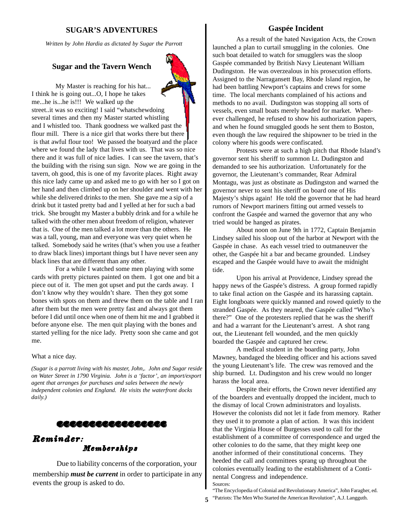#### **SUGAR'S ADVENTURES**

*Written by John Hardia as dictated by Sugar the Parrott*

#### **Sugar and the Tavern Wench**

My Master is reaching for his hat... I think he is going out...O, I hope he takes me...he is...he is!!! We walked up the street..it was so exciting! I said "whatschewdoing several times and then my Master started whistling and I whistled too. Thank goodness we walked past the flour mill. There is a nice girl that works there but there is that awful flour too! We passed the boatyard and the place where we found the lady that lives with us. That was so nice there and it was full of nice ladies. I can see the tavern, that's the building with the rising sun sign. Now we are going in the tavern, oh good, this is one of my favorite places. Right away this nice lady came up and asked me to go with her so I got on her hand and then climbed up on her shoulder and went with her while she delivered drinks to the men. She gave me a sip of a drink but it tasted pretty bad and I yelled at her for such a bad trick. She brought my Master a bubbly drink and for a while he talked with the other men about freedom of religion, whatever that is. One of the men talked a lot more than the others. He was a tall, young, man and everyone was very quiet when he talked. Somebody said he writes (that's when you use a feather to draw black lines) important things but I have never seen any black lines that are different than any other.

For a while I watched some men playing with some cards with pretty pictures painted on them. I got one and bit a piece out of it. The men got upset and put the cards away. I don't know why they wouldn't share. Then they got some bones with spots on them and threw them on the table and I ran after them but the men were pretty fast and always got them before I did until once when one of them hit me and I grabbed it before anyone else. The men quit playing with the bones and started yelling for the nice lady. Pretty soon she came and got me.

#### What a nice day.

*(Sugar is a parrott living with his master, John,. John and Sugar reside on Water Street in 1790 Virginia. John is a 'factor', an import/export agent that arranges for purchases and sales between the newly independent colonies and England. He visits the waterfront docks daily.)*

## **格格塔格格塔格塔塔塔塔塔塔塔塔塔塔**

## Memberships Reminder:

Due to liability concerns of the corporation, your membership *must be current* in order to participate in any events the group is asked to do.

#### **Gaspée Incident**

As a result of the hated Navigation Acts, the Crown launched a plan to curtail smuggling in the colonies. One such boat detailed to watch for smugglers was the sloop Gaspée commanded by British Navy Lieutenant William Dudingston. He was overzealous in his prosecution efforts. Assigned to the Narragansett Bay, Rhode Island region, he had been battling Newport's captains and crews for some time. The local merchants complained of his actions and methods to no avail. Dudingston was stopping all sorts of vessels, even small boats merely headed for market. Whenever challenged, he refused to show his authorization papers, and when he found smuggled goods he sent them to Boston, even though the law required the shipowner to be tried in the colony where his goods were confiscated.

Protests were at such a high pitch that Rhode Island's governor sent his sheriff to summon Lt. Dudingston and demanded to see his authorization. Unfortunately for the governor, the Lieutenant's commander, Rear Admiral Montagu, was just as obstinate as Dudingston and warned the governor never to sent his sheriff on board one of His Majesty's ships again! He told the governor that he had heard rumors of Newport mariners fitting out armed vessels to confront the Gaspée and warned the governor that any who tried would be hanged as pirates.

About noon on June 9th in 1772, Captain Benjamin Lindsey sailed his sloop out of the harbor at Newport with the Gaspée in chase. As each vessel tried to outmaneuver the other, the Gaspée hit a bar and became grounded. Lindsey escaped and the Gaspée would have to await the midnight tide.

Upon his arrival at Providence, Lindsey spread the happy news of the Gaspée's distress. A group formed rapidly to take final action on the Gaspée and its harassing captain. Eight longboats were quickly manned and rowed quietly to the stranded Gaspée. As they neared, the Gaspée called "Who's there?" One of the protesters replied that he was the sheriff and had a warrant for the Lieutenant's arrest. A shot rang out, the Lieutenant fell wounded, and the men quickly boarded the Gaspée and captured her crew.

A medical student in the boarding party, John Mawney, bandaged the bleeding officer and his actions saved the young Lieutenant's life. The crew was removed and the ship burned. Lt. Dudingston and his crew would no longer harass the local area.

Despite their efforts, the Crown never identified any of the boarders and eventually dropped the incident, much to the dismay of local Crown administrators and loyalists. However the colonists did not let it fade from memory. Rather they used it to promote a plan of action. It was this incident that the Virginia House of Burgesses used to call for the establishment of a committee of correspondence and urged the other colonies to do the same, that they might keep one another informed of their constitutional concerns. They heeded the call and committees sprang up throughout the colonies eventually leading to the establishment of a Continental Congress and independence. Sources:

"The Encyclopedia of Colonial and Revolutionary America", John Faragher, ed. "Patriots: The Men Who Started the American Revolution", A.J. Langguth.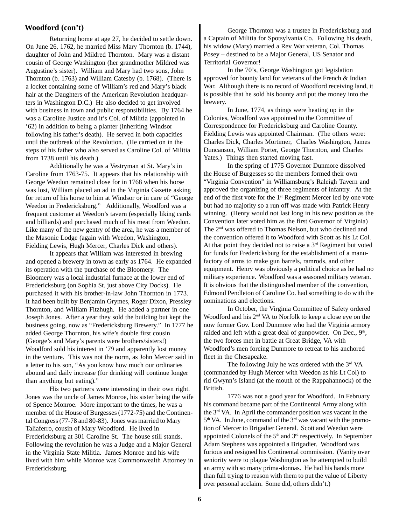#### **Woodford (con't)**

Returning home at age 27, he decided to settle down. On June 26, 1762, he married Miss Mary Thornton (b. 1744), daughter of John and Mildred Thornton. Mary was a distant cousin of George Washington (her grandmother Mildred was Augustine's sister). William and Mary had two sons, John Thornton (b. 1763) and William Catesby (b. 1768). (There is a locket containing some of William's red and Mary's black hair at the Daughters of the American Revolution headquarters in Washington D.C.) He also decided to get involved with business in town and public responsibilities. By 1764 he was a Caroline Justice and it's Col. of Militia (appointed in '62) in addition to being a planter (inheriting Windsor following his father's death). He served in both capacities until the outbreak of the Revolution. (He carried on in the steps of his father who also served as Caroline Col. of Militia from 1738 until his death.)

Additionally he was a Vestryman at St. Mary's in Caroline from 1763-75. It appears that his relationship with George Weedon remained close for in 1768 when his horse was lost, William placed an ad in the Virginia Gazette asking for return of his horse to him at Windsor or in care of "George Weedon in Fredericksburg." Additionally, Woodford was a frequent customer at Weedon's tavern (especially liking cards and billiards) and purchased much of his meat from Weedon. Like many of the new gentry of the area, he was a member of the Masonic Lodge (again with Weedon, Washington, Fielding Lewis, Hugh Mercer, Charles Dick and others).

It appears that William was interested in brewing and opened a brewery in town as early as 1764. He expanded its operation with the purchase of the Bloomery. The Bloomery was a local industrial furnace at the lower end of Fredericksburg (on Sophia St. just above City Docks). He purchased it with his brother-in-law John Thornton in 1773. It had been built by Benjamin Grymes, Roger Dixon, Pressley Thornton, and William Fitzhugh. He added a partner in one Joseph Jones. After a year they sold the building but kept the business going, now as "Fredericksburg Brewery." In 1777 he added George Thornton, his wife's double first cousin (George's and Mary's parents were brothers/sisters!) Woodford sold his interest in '79 and apparently lost money in the venture. This was not the norm, as John Mercer said in a letter to his son, "As you know how much our ordinaries abound and daily increase (for drinking will continue longer than anything but eating)."

His two partners were interesting in their own right. Jones was the uncle of James Monroe, his sister being the wife of Spence Monroe. More important to the times, he was a member of the House of Burgesses (1772-75) and the Continental Congress (77-78 and 80-83). Jones was married to Mary Taliaferro, cousin of Mary Woodford. He lived in Fredericksburg at 301 Caroline St. The house still stands. Following the revolution he was a Judge and a Major General in the Virginia State Militia. James Monroe and his wife lived with him while Monroe was Commonwealth Attorney in Fredericksburg.

George Thornton was a trustee in Fredericksburg and a Captain of Militia for Spotsylvania Co. Following his death, his widow (Mary) married a Rev War veteran, Col. Thomas Posey – destined to be a Major General, US Senator and Territorial Governor!

In the 70's, George Washington got legislation approved for bounty land for veterans of the French & Indian War. Although there is no record of Woodford receiving land, it is possible that he sold his bounty and put the money into the brewery.

In June, 1774, as things were heating up in the Colonies, Woodford was appointed to the Committee of Correspondence for Fredericksburg and Caroline County. Fielding Lewis was appointed Chairman. (The others were: Charles Dick, Charles Mortimer, Charles Washington, James Duncanson, William Porter, George Thornton, and Charles Yates.) Things then started moving fast.

In the spring of 1775 Governor Dunmore dissolved the House of Burgesses so the members formed their own "Virginia Convention" in Williamsburg's Raleigh Tavern and approved the organizing of three regiments of infantry. At the end of the first vote for the  $1<sup>st</sup>$  Regiment Mercer led by one vote but had no majority so a run off was made with Patrick Henry winning. (Henry would not last long in his new position as the Convention later voted him as the first Governor of Virginia) The 2nd was offered to Thomas Nelson, but who declined and the convention offered it to Woodford with Scott as his Lt Col. At that point they decided not to raise a 3rd Regiment but voted for funds for Fredericksburg for the establishment of a manufactory of arms to make gun barrels, ramrods, and other equipment. Henry was obviously a political choice as he had no military experience. Woodford was a seasoned military veteran. It is obvious that the distinguished member of the convention, Edmond Pendleton of Caroline Co. had something to do with the nominations and elections.

In October, the Virginia Committee of Safety ordered Woodford and his 2<sup>nd</sup> VA to Norfolk to keep a close eye on the now former Gov. Lord Dunmore who had the Virginia armory raided and left with a great deal of gunpowder. On Dec.,  $9<sup>th</sup>$ , the two forces met in battle at Great Bridge, VA with Woodford's men forcing Dunmore to retreat to his anchored fleet in the Chesapeake.

The following July he was ordered with the 3rd VA (commanded by Hugh Mercer with Weedon as his Lt Col) to rid Gwynn's Island (at the mouth of the Rappahannock) of the British.

1776 was not a good year for Woodford. In February his command became part of the Continental Army along with the 3rd VA. In April the commander position was vacant in the 5<sup>th</sup> VA. In June, command of the 3<sup>rd</sup> was vacant with the promotion of Mercer to Brigadier General. Scott and Weedon were appointed Colonels of the 5<sup>th</sup> and 3<sup>rd</sup> respectively. In September Adam Stephens was appointed a Brigadier. Woodford was furious and resigned his Continental commission. (Vanity over seniority were to plague Washington as he attempted to build an army with so many prima-donnas. He had his hands more than full trying to reason with them to put the value of Liberty over personal acclaim. Some did, others didn't.)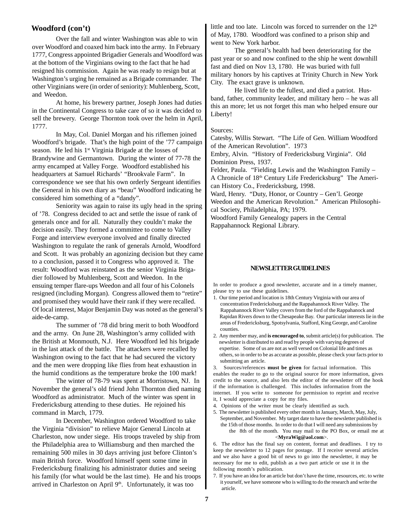#### **Woodford (con't)**

Over the fall and winter Washington was able to win over Woodford and coaxed him back into the army. In February 1777, Congress appointed Brigadier Generals and Woodford was at the bottom of the Virginians owing to the fact that he had resigned his commission. Again he was ready to resign but at Washington's urging he remained as a Brigade commander. The other Virginians were (in order of seniority): Muhlenberg, Scott, and Weedon.

At home, his brewery partner, Joseph Jones had duties in the Continental Congress to take care of so it was decided to sell the brewery. George Thornton took over the helm in April, 1777.

In May, Col. Daniel Morgan and his riflemen joined Woodford's brigade. That's the high point of the '77 campaign season. He led his 1<sup>st</sup> Virginia Brigade at the losses of Brandywine and Germantown. During the winter of 77-78 the army encamped at Valley Forge. Woodford established his headquarters at Samuel Richards' "Brookvale Farm". In correspondence we see that his own orderly Sergeant identifies the General in his own diary as "beau" Woodford indicating he considered him something of a "dandy".

Seniority was again to raise its ugly head in the spring of '78. Congress decided to act and settle the issue of rank of generals once and for all. Naturally they couldn't make the decision easily. They formed a committee to come to Valley Forge and interview everyone involved and finally directed Washington to regulate the rank of generals Arnold, Woodford and Scott. It was probably an agonizing decision but they came to a conclusion, passed it to Congress who approved it. The result: Woodford was reinstated as the senior Virginia Brigadier followed by Muhlenberg, Scott and Weedon. In the ensuing temper flare-ups Weedon and all four of his Colonels resigned (including Morgan). Congress allowed them to "retire" and promised they would have their rank if they were recalled. Of local interest, Major Benjamin Day was noted as the general's aide-de-camp.

The summer of '78 did bring merit to both Woodford and the army. On June 28, Washington's army collided with the British at Monmouth, N.J. Here Woodford led his brigade in the last attack of the battle. The attackers were recalled by Washington owing to the fact that he had secured the victory and the men were dropping like flies from heat exhaustion in the humid conditions as the temperature broke the 100 mark!

The winter of 78-79 was spent at Morristown, NJ. In November the general's old friend John Thornton died naming Woodford as administrator. Much of the winter was spent in Fredericksburg attending to these duties. He rejoined his command in March, 1779.

In December, Washington ordered Woodford to take the Virginia "division" to relieve Major General Lincoln at Charleston, now under siege. His troops traveled by ship from the Philadelphia area to Williamsburg and then marched the remaining 500 miles in 30 days arriving just before Clinton's main British force. Woodford himself spent some time in Fredericksburg finalizing his administrator duties and seeing his family (for what would be the last time). He and his troops arrived in Charleston on April  $9<sup>th</sup>$ . Unfortunately, it was too

little and too late. Lincoln was forced to surrender on the 12<sup>th</sup> of May, 1780. Woodford was confined to a prison ship and went to New York harbor.

The general's health had been deteriorating for the past year or so and now confined to the ship he went downhill fast and died on Nov 13, 1780. He was buried with full military honors by his captives at Trinity Church in New York City. The exact grave is unknown.

He lived life to the fullest, and died a patriot. Husband, father, community leader, and military hero – he was all this an more; let us not forget this man who helped ensure our Liberty!

#### Sources:

Catesby, Willis Stewart. "The Life of Gen. William Woodford of the American Revolution". 1973

Embry, Alvin. "History of Fredericksburg Virginia". Old Dominion Press, 1937.

Felder, Paula. "Fielding Lewis and the Washington Family – A Chronicle of 18th Century Life Fredericksburg" The American History Co., Fredericksburg, 1998.

Ward, Henry. "Duty, Honor, or Country – Gen'l. George Weedon and the American Revolution." American Philosophical Society, Philadelphia, PA; 1979.

Woodford Family Genealogy papers in the Central Rappahannock Regional Library.

#### **NEWSLETTER GUIDELINES**

In order to produce a good newsletter, accurate and in a timely manner, please try to use these guidelines.

- 1. Our time period and location is 18th Century Virginia with our area of concentration Fredericksburg and the Rappahannock River Valley. The Rappahannock River Valley covers from the ford of the Rappahanock and Rapidan Rivers down to the Chesapeake Bay. Our particular interests lie in the areas of Fredericksburg, Spotsylvania, Stafford, King George, and Caroline counties.
- 2. Any member may, and **is encouraged to**, submit article(s) for publication. The newsletter is distributed to and read by people with varying degrees of expertise. Some of us are not as well versed on Colonial life and times as others, so in order to be as accurate as possible, please check your facts prior to submitting an article.

3. Sources/references **must be given** for factual information. This enables the reader to go to the original source for more information, gives credit to the source, and also lets the editor of the newsletter off the hook if the information is challenged. This includes information from the internet. If you write to someone for permission to reprint and receive it, I would appreciate a copy for my files.

- 4. Opinions of the writer must be clearly identified as such.
- 5. The newsletter is published every other month in January, March, May, July, September, and November. My target date to have the newsletter published is the 15th of those months. In order to do that I will need any submissions by the 8th of the month. You may mail to the PO Box, or email me at <**MyraWig@aol.com**>.

6. The editor has the final say on content, format and deadlines. I try to keep the newsletter to 12 pages for postage. If I receive several articles and we also have a good bit of news to go into the newsletter, it may be necessary for me to edit, publish as a two part article or use it in the following month's publication.

7. If you have an idea for an article but don't have the time, resources, etc. to write it yourself, we have someone who is willing to do the research and write the article.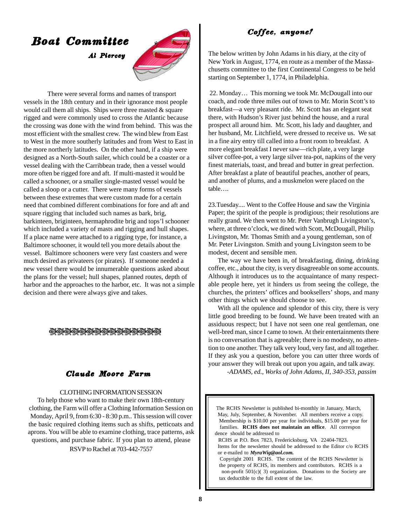# Boat Committee

Al Piercey



There were several forms and names of transport vessels in the 18th century and in their ignorance most people would call them all ships. Ships were three masted  $\&$  square rigged and were commonly used to cross the Atlantic because the crossing was done with the wind from behind. This was the most efficient with the smallest crew. The wind blew from East to West in the more southerly latitudes and from West to East in the more northerly latitudes. On the other hand, if a ship were designed as a North-South sailer, which could be a coaster or a vessel dealing with the Carribbean trade, then a vessel would more often be rigged fore and aft. If multi-masted it would be called a schooner, or a smaller single-masted vessel would be called a sloop or a cutter. There were many forms of vessels between these extremes that were custom made for a certain need that combined different combinations for fore and aft and square rigging that included such names as bark, brig, barkinteen, briginteen, hermaphrodite brig and tops'l schooner which included a variety of masts and rigging and hull shapes. If a place name were attached to a rigging type, for instance, a Baltimore schooner, it would tell you more details about the vessel. Baltimore schooners were very fast coasters and were much desired as privateers (or pirates). If someone needed a new vessel there would be innumerable questions asked about the plans for the vessel; hull shapes, planned routes, depth of harbor and the approaches to the harbor, etc. It was not a simple decision and there were always give and takes.

#### **جى جەنچىچىچى جەنچىچى** جەنچى  $\mathcal{D}$

## Claude Moore Farm

#### CLOTHING INFORMATION SESSION

To help those who want to make their own 18th-century clothing, the Farm will offer a Clothing Information Session on Monday, April 9, from 6:30 - 8:30 p.m.. This session will cover the basic required clothing items such as shifts, petticoats and aprons. You will be able to examine clothing, trace patterns, ask questions, and purchase fabric. If you plan to attend, please RSVP to Rachel at 703-442-7557

## Coffee, anyone?

The below written by John Adams in his diary, at the city of New York in August, 1774, en route as a member of the Massachusetts committee to the first Continental Congress to be held starting on September 1, 1774, in Philadelphia.

 22. Monday… This morning we took Mr. McDougall into our coach, and rode three miles out of town to Mr. Morin Scott's to breakfast—a very pleasant ride. Mr. Scott has an elegant seat there, with Hudson's River just behind the house, and a rural prospect all around him. Mr. Scott, his lady and daughter, and her husband, Mr. Litchfield, were dressed to receive us. We sat in a fine airy entry till called into a front room to breakfast. A more elegant breakfast I never saw—rich plate, a very large silver coffee-pot, a very large silver tea-pot, napkins of the very finest materials, toast, and bread and butter in great perfection. After breakfast a plate of beautiful peaches, another of pears, and another of plums, and a muskmelon were placed on the table….

23.Tuesday.... Went to the Coffee House and saw the Virginia Paper; the spirit of the people is prodigious; their resolutions are really grand. We then went to Mr. Peter Vanbrugh Livingston's, where, at three o'clock, we dined with Scott, McDougall, Philip Livingston, Mr. Thomas Smith and a young gentleman, son of Mr. Peter Livingston. Smith and young Livingston seem to be modest, decent and sensible men.

The way we have been in, of breakfasting, dining, drinking coffee, etc., about the city, is very disagreeable on some accounts. Although it introduces us to the acquaintance of many respectable people here, yet it hinders us from seeing the college, the churches, the printers' offices and booksellers' shops, and many other things which we should choose to see.

With all the opulence and splendor of this city, there is very little good breeding to be found. We have been treated with an assiduous respect; but I have not seen one real gentleman, one well-bred man, since I came to town. At their entertainments there is no conversation that is agreeable; there is no modesty, no attention to one another. They talk very loud, very fast, and all together. If they ask you a question, before you can utter three words of your answer they will break out upon you again, and talk away.

*-ADAMS, ed., Works of John Adams, II, 340-353, passim*

**Hay, July, September, & November. All members receive a copy.**  The RCHS Newsletter is published bi-monthly in January, March, Membership is \$10.00 per year for individuals, \$15.00 per year for families. **RCHS does not maintain an office**. All correspon dence should be addressed to RCHS at P.O. Box 7823, Fredericksburg, VA 22404-7823. Items for the newsletter should be addressed to the Editor c/o RCHS or e-mailed to *MyraWig@aol.com.* Copyright 2001 RCHS. The content of the RCHS Newsletter is the property of RCHS, its members and contributors. RCHS is a non-profit 501(c)( 3) organization. Donations to the Society are tax deductible to the full extent of the law.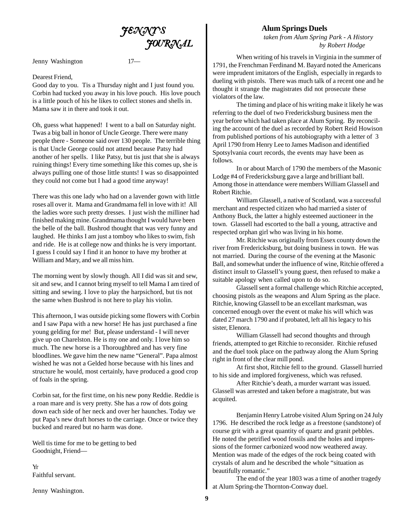

Jenny Washington 17—

#### Dearest Friend,

Good day to you. Tis a Thursday night and I just found you. Corbin had tucked you away in his love pouch. His love pouch is a little pouch of his he likes to collect stones and shells in. Mama saw it in there and took it out.

Oh, guess what happened! I went to a ball on Saturday night. Twas a big ball in honor of Uncle George. There were many people there - Someone said over 130 people. The terrible thing is that Uncle George could not attend because Patsy had another of her spells. I like Patsy, but tis just that she is always ruining things! Every time something like this comes up, she is always pulling one of those little stunts! I was so disappointed they could not come but I had a good time anyway!

There was this one lady who had on a lavender gown with little roses all over it. Mama and Grandmama fell in love with it! All the ladies wore such pretty dresses. I just wish the milliner had finished making mine. Grandmama thought I would have been the belle of the ball. Bushrod thought that was very funny and laughed. He thinks I am just a tomboy who likes to swim, fish and ride. He is at college now and thinks he is very important. I guess I could say I find it an honor to have my brother at William and Mary, and we all miss him.

The morning went by slowly though. All I did was sit and sew, sit and sew, and I cannot bring myself to tell Mama I am tired of sitting and sewing. I love to play the harpsichord, but tis not the same when Bushrod is not here to play his violin.

This afternoon, I was outside picking some flowers with Corbin and I saw Papa with a new horse! He has just purchased a fine young gelding for me! But, please understand - I will never give up on Charelston. He is my one and only. I love him so much. The new horse is a Thoroughbred and has very fine bloodlines. We gave him the new name "General". Papa almost wished he was not a Gelded horse because with his lines and structure he would, most certainly, have produced a good crop of foals in the spring.

Corbin sat, for the first time, on his new pony Reddie. Reddie is a roan mare and is very pretty. She has a row of dots going down each side of her neck and over her haunches. Today we put Papa's new draft horses to the carriage. Once or twice they bucked and reared but no harm was done.

Well tis time for me to be getting to bed Goodnight, Friend—

Yr Faithful servant.

Jenny Washington.

#### **Alum Springs Duels**

*taken from Alum Spring Park - A History by Robert Hodge*

When writing of his travels in Virginia in the summer of 1791, the Frenchman Ferdinand M. Bayard noted the Americans were imprudent imitators of the English, especially in regards to dueling with pistols. There was much talk of a recent one and he thought it strange the magistrates did not prosecute these violators of the law.

The timing and place of his writing make it likely he was referring to the duel of two Fredericksburg business men the year before which had taken place at Alum Spring. By reconciling the account of the duel as recorded by Robert Reid Howison from published portions of his autobiography with a letter of 3 April 1790 from Henry Lee to James Madison and identified Spotsylvania court records, the events may have been as follows.

In or about March of 1790 the members of the Masonic Lodge #4 of Fredericksburg gave a large and brilliant ball. Among those in attendance were members William Glassell and Robert Ritchie.

William Glassell, a native of Scotland, was a successful merchant and respected citizen who had married a sister of Anthony Buck, the latter a highly esteemed auctioneer in the town. Glassell had escorted to the ball a young, attractive and respected orphan girl who was living in his home.

Mr. Ritchie was originally from Essex county down the river from Fredericksburg, but doing business in town. He was not married. During the course of the evening at the Masonic Ball, and somewhat under the influence of wine, Ritchie offered a distinct insult to Glassell's young guest, then refused to make a suitable apology when called upon to do so.

Glassell sent a formal challenge which Ritchie accepted, choosing pistols as the weapons and Alum Spring as the place. Ritchie, knowing Glassell to be an excellant marksman, was concerned enough over the event ot make his will which was dated 27 march 1790 and if probated, left all his legacy to his sister, Elenora.

William Glassell had second thoughts and through friends, attempted to get Ritchie to reconsider. Ritchie refused and the duel took place on the pathway along the Alum Spring right in front of the clear mill pond.

At first shot, Ritchie fell to the ground. Glassell hurried to his side and implored forgiveness, which was refused.

After Ritchie's death, a murder warrant was issued. Glassell was arrested and taken before a magistrate, but was acquited.

Benjamin Henry Latrobe visited Alum Spring on 24 July 1796. He described the rock ledge as a freestone (sandstone) of course grit with a great quantity of quartz and granit pebbles. He noted the petrified wood fossils and the holes and impressions of the former carbonized wood now weathered away. Mention was made of the edges of the rock being coated with crystals of alum and he described the whole "situation as beautifully romantic."

The end of the year 1803 was a time of another tragedy at Alum Spring-the Thornton-Conway duel.